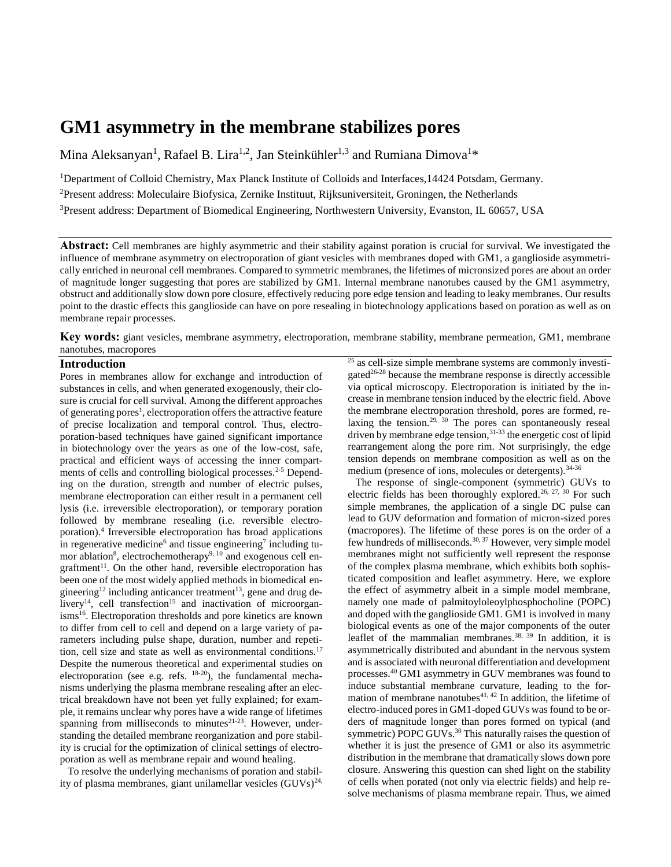# **GM1 asymmetry in the membrane stabilizes pores**

Mina Aleksanyan<sup>1</sup>, Rafael B. Lira<sup>1,2</sup>, Jan Steinkühler<sup>1,3</sup> and Rumiana Dimova<sup>1\*</sup>

<sup>1</sup>Department of Colloid Chemistry, Max Planck Institute of Colloids and Interfaces,14424 Potsdam, Germany. <sup>2</sup>Present address: Moleculaire Biofysica, Zernike Instituut, Rijksuniversiteit, Groningen, the Netherlands <sup>3</sup>Present address: Department of Biomedical Engineering, Northwestern University, Evanston, IL 60657, USA

**Abstract:** Cell membranes are highly asymmetric and their stability against poration is crucial for survival. We investigated the influence of membrane asymmetry on electroporation of giant vesicles with membranes doped with GM1, a ganglioside asymmetrically enriched in neuronal cell membranes. Compared to symmetric membranes, the lifetimes of micronsized pores are about an order of magnitude longer suggesting that pores are stabilized by GM1. Internal membrane nanotubes caused by the GM1 asymmetry, obstruct and additionally slow down pore closure, effectively reducing pore edge tension and leading to leaky membranes. Our results point to the drastic effects this ganglioside can have on pore resealing in biotechnology applications based on poration as well as on membrane repair processes.

**Key words:** giant vesicles, membrane asymmetry, electroporation, membrane stability, membrane permeation, GM1, membrane nanotubes, macropores

## **Introduction**

Pores in membranes allow for exchange and introduction of substances in cells, and when generated exogenously, their closure is crucial for cell survival. Among the different approaches of generating pores<sup>1</sup>, electroporation offers the attractive feature of precise localization and temporal control. Thus, electroporation-based techniques have gained significant importance in biotechnology over the years as one of the low-cost, safe, practical and efficient ways of accessing the inner compartments of cells and controlling biological processes.<sup>2-5</sup> Depending on the duration, strength and number of electric pulses, membrane electroporation can either result in a permanent cell lysis (i.e. irreversible electroporation), or temporary poration followed by membrane resealing (i.e. reversible electroporation).<sup>4</sup> Irreversible electroporation has broad applications in regenerative medicine<sup>6</sup> and tissue engineering<sup>7</sup> including tumor ablation<sup>8</sup>, electrochemotherapy<sup>9, 10</sup> and exogenous cell engraftment<sup>11</sup>. On the other hand, reversible electroporation has been one of the most widely applied methods in biomedical engineering<sup>12</sup> including anticancer treatment<sup>13</sup>, gene and drug de- $\frac{1}{2}$  ivery<sup>14</sup>, cell transfection<sup>15</sup> and inactivation of microorganisms<sup>16</sup>. Electroporation thresholds and pore kinetics are known to differ from cell to cell and depend on a large variety of parameters including pulse shape, duration, number and repetition, cell size and state as well as environmental conditions.<sup>17</sup> Despite the numerous theoretical and experimental studies on electroporation (see e.g. refs.  $18-20$ ), the fundamental mechanisms underlying the plasma membrane resealing after an electrical breakdown have not been yet fully explained; for example, it remains unclear why pores have a wide range of lifetimes spanning from milliseconds to minutes $21-23$ . However, understanding the detailed membrane reorganization and pore stability is crucial for the optimization of clinical settings of electroporation as well as membrane repair and wound healing.

To resolve the underlying mechanisms of poration and stability of plasma membranes, giant unilamellar vesicles  $(GUVs)^{24}$ ,

 $25$  as cell-size simple membrane systems are commonly investigated $26-28$  because the membrane response is directly accessible via optical microscopy. Electroporation is initiated by the increase in membrane tension induced by the electric field. Above the membrane electroporation threshold, pores are formed, re- $\frac{1}{2}$  laxing the tension.<sup>29, 30</sup> The pores can spontaneously reseal driven by membrane edge tension,<sup>31-33</sup> the energetic cost of lipid rearrangement along the pore rim. Not surprisingly, the edge tension depends on membrane composition as well as on the medium (presence of ions, molecules or detergents).<sup>34-36</sup>

The response of single-component (symmetric) GUVs to electric fields has been thoroughly explored.<sup>26, 27, 30</sup> For such simple membranes, the application of a single DC pulse can lead to GUV deformation and formation of micron-sized pores (macropores). The lifetime of these pores is on the order of a few hundreds of milliseconds.30, 37 However, very simple model membranes might not sufficiently well represent the response of the complex plasma membrane, which exhibits both sophisticated composition and leaflet asymmetry. Here, we explore the effect of asymmetry albeit in a simple model membrane, namely one made of palmitoyloleoylphosphocholine (POPC) and doped with the ganglioside GM1. GM1 is involved in many biological events as one of the major components of the outer leaflet of the mammalian membranes.<sup>38,  $\frac{39}{3}$ </sup> In addition, it is asymmetrically distributed and abundant in the nervous system and is associated with neuronal differentiation and development processes.<sup>40</sup> GM1 asymmetry in GUV membranes was found to induce substantial membrane curvature, leading to the formation of membrane nanotubes $41, 42$  In addition, the lifetime of electro-induced pores in GM1-doped GUVs was found to be orders of magnitude longer than pores formed on typical (and symmetric) POPC GUVs.<sup>30</sup> This naturally raises the question of whether it is just the presence of GM1 or also its asymmetric distribution in the membrane that dramatically slows down pore closure. Answering this question can shed light on the stability of cells when porated (not only via electric fields) and help resolve mechanisms of plasma membrane repair. Thus, we aimed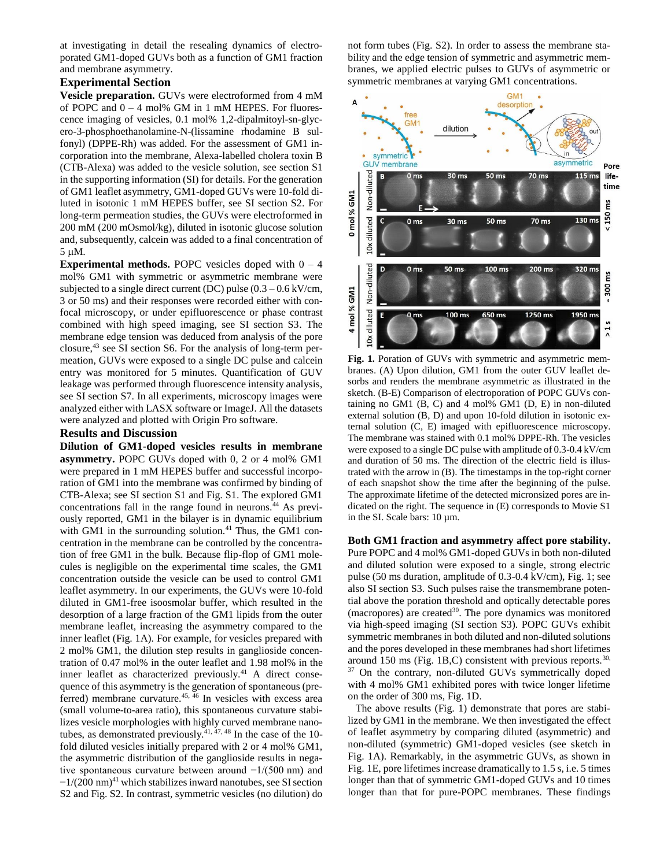at investigating in detail the resealing dynamics of electroporated GM1-doped GUVs both as a function of GM1 fraction and membrane asymmetry.

### **Experimental Section**

**Vesicle preparation.** GUVs were electroformed from 4 mM of POPC and  $0 - 4$  mol% GM in 1 mM HEPES. For fluorescence imaging of vesicles, 0.1 mol% 1,2-dipalmitoyl-sn-glycero-3-phosphoethanolamine-N-(lissamine rhodamine B sulfonyl) (DPPE-Rh) was added. For the assessment of GM1 incorporation into the membrane, Alexa-labelled cholera toxin B (CTB-Alexa) was added to the vesicle solution, see section S1 in the supporting information (SI) for details. For the generation of GM1 leaflet asymmetry, GM1-doped GUVs were 10-fold diluted in isotonic 1 mM HEPES buffer, see SI section S2. For long-term permeation studies, the GUVs were electroformed in 200 mM (200 mOsmol/kg), diluted in isotonic glucose solution and, subsequently, calcein was added to a final concentration of 5 M.

**Experimental methods.** POPC vesicles doped with  $0 - 4$ mol% GM1 with symmetric or asymmetric membrane were subjected to a single direct current (DC) pulse  $(0.3 - 0.6 \text{ kV/cm})$ , 3 or 50 ms) and their responses were recorded either with confocal microscopy, or under epifluorescence or phase contrast combined with high speed imaging, see SI section S3. The membrane edge tension was deduced from analysis of the pore closure, <sup>43</sup> see SI section S6. For the analysis of long-term permeation, GUVs were exposed to a single DC pulse and calcein entry was monitored for 5 minutes. Quantification of GUV leakage was performed through fluorescence intensity analysis, see SI section S7. In all experiments, microscopy images were analyzed either with LASX software or ImageJ. All the datasets were analyzed and plotted with Origin Pro software.

#### **Results and Discussion**

**Dilution of GM1-doped vesicles results in membrane asymmetry.** POPC GUVs doped with 0, 2 or 4 mol% GM1 were prepared in 1 mM HEPES buffer and successful incorporation of GM1 into the membrane was confirmed by binding of CTB-Alexa; see SI section S1 and Fig. S1. The explored GM1 concentrations fall in the range found in neurons.<sup>44</sup> As previously reported, GM1 in the bilayer is in dynamic equilibrium with GM1 in the surrounding solution.<sup>41</sup> Thus, the GM1 concentration in the membrane can be controlled by the concentration of free GM1 in the bulk. Because flip-flop of GM1 molecules is negligible on the experimental time scales, the GM1 concentration outside the vesicle can be used to control GM1 leaflet asymmetry. In our experiments, the GUVs were 10-fold diluted in GM1-free isoosmolar buffer, which resulted in the desorption of a large fraction of the GM1 lipids from the outer membrane leaflet, increasing the asymmetry compared to the inner leaflet (Fig. 1A). For example, for vesicles prepared with 2 mol% GM1, the dilution step results in ganglioside concentration of 0.47 mol% in the outer leaflet and 1.98 mol% in the inner leaflet as characterized previously.<sup>41</sup> A direct consequence of this asymmetry is the generation of spontaneous (preferred) membrane curvature.<sup>45, 46</sup> In vesicles with excess area (small volume-to-area ratio), this spontaneous curvature stabilizes vesicle morphologies with highly curved membrane nanotubes, as demonstrated previously.<sup>41, 47, 48</sup> In the case of the 10fold diluted vesicles initially prepared with 2 or 4 mol% GM1, the asymmetric distribution of the ganglioside results in negative spontaneous curvature between around −1/(500 nm) and  $-1/(200 \text{ nm})^{41}$  which stabilizes inward nanotubes, see SI section S2 and Fig. S2. In contrast, symmetric vesicles (no dilution) do

not form tubes (Fig. S2). In order to assess the membrane stability and the edge tension of symmetric and asymmetric membranes, we applied electric pulses to GUVs of asymmetric or symmetric membranes at varying GM1 concentrations.



**Fig. 1.** Poration of GUVs with symmetric and asymmetric membranes. (A) Upon dilution, GM1 from the outer GUV leaflet desorbs and renders the membrane asymmetric as illustrated in the sketch. (B-E) Comparison of electroporation of POPC GUVs containing no GM1 (B, C) and 4 mol% GM1 (D, E) in non-diluted external solution (B, D) and upon 10-fold dilution in isotonic external solution (C, E) imaged with epifluorescence microscopy. The membrane was stained with 0.1 mol% DPPE-Rh. The vesicles were exposed to a single DC pulse with amplitude of 0.3-0.4 kV/cm and duration of 50 ms. The direction of the electric field is illustrated with the arrow in (B). The timestamps in the top-right corner of each snapshot show the time after the beginning of the pulse. The approximate lifetime of the detected micronsized pores are indicated on the right. The sequence in (E) corresponds to Movie S1 in the SI. Scale bars: 10 µm.

**Both GM1 fraction and asymmetry affect pore stability.**  Pure POPC and 4 mol% GM1-doped GUVs in both non-diluted and diluted solution were exposed to a single, strong electric pulse (50 ms duration, amplitude of 0.3-0.4 kV/cm), Fig. 1; see also SI section S3. Such pulses raise the transmembrane potential above the poration threshold and optically detectable pores (macropores) are created<sup>30</sup>. The pore dynamics was monitored via high-speed imaging (SI section S3). POPC GUVs exhibit symmetric membranes in both diluted and non-diluted solutions and the pores developed in these membranes had short lifetimes around 150 ms (Fig. 1B,C) consistent with previous reports.<sup>30,</sup> <sup>37</sup> On the contrary, non-diluted GUVs symmetrically doped with 4 mol% GM1 exhibited pores with twice longer lifetime on the order of 300 ms, Fig. 1D.

The above results (Fig. 1) demonstrate that pores are stabilized by GM1 in the membrane. We then investigated the effect of leaflet asymmetry by comparing diluted (asymmetric) and non-diluted (symmetric) GM1-doped vesicles (see sketch in Fig. 1A). Remarkably, in the asymmetric GUVs, as shown in Fig. 1E, pore lifetimes increase dramatically to 1.5 s, i.e. 5 times longer than that of symmetric GM1-doped GUVs and 10 times longer than that for pure-POPC membranes. These findings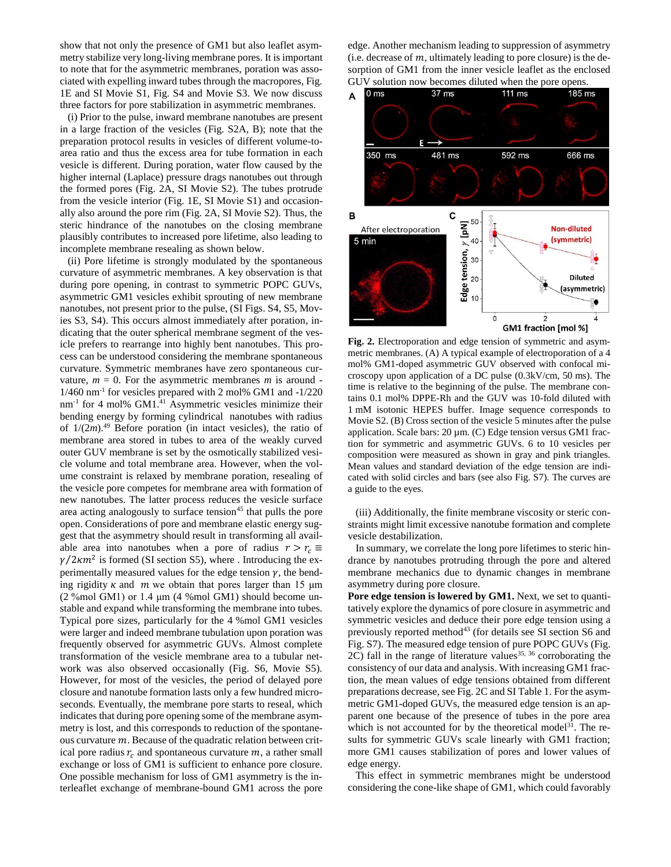show that not only the presence of GM1 but also leaflet asymmetry stabilize very long-living membrane pores. It is important to note that for the asymmetric membranes, poration was associated with expelling inward tubes through the macropores, Fig. 1E and SI Movie S1, Fig. S4 and Movie S3. We now discuss three factors for pore stabilization in asymmetric membranes.

(i) Prior to the pulse, inward membrane nanotubes are present in a large fraction of the vesicles (Fig. S2A, B); note that the preparation protocol results in vesicles of different volume-toarea ratio and thus the excess area for tube formation in each vesicle is different. During poration, water flow caused by the higher internal (Laplace) pressure drags nanotubes out through the formed pores (Fig. 2A, SI Movie S2). The tubes protrude from the vesicle interior (Fig. 1E, SI Movie S1) and occasionally also around the pore rim (Fig. 2A, SI Movie S2). Thus, the steric hindrance of the nanotubes on the closing membrane plausibly contributes to increased pore lifetime, also leading to incomplete membrane resealing as shown below.

(ii) Pore lifetime is strongly modulated by the spontaneous curvature of asymmetric membranes. A key observation is that during pore opening, in contrast to symmetric POPC GUVs, asymmetric GM1 vesicles exhibit sprouting of new membrane nanotubes, not present prior to the pulse, (SI Figs. S4, S5, Movies S3, S4). This occurs almost immediately after poration, indicating that the outer spherical membrane segment of the vesicle prefers to rearrange into highly bent nanotubes. This process can be understood considering the membrane spontaneous curvature. Symmetric membranes have zero spontaneous curvature,  $m = 0$ . For the asymmetric membranes  $m$  is around -1/460 nm-1 for vesicles prepared with 2 mol% GM1 and -1/220 nm<sup>-1</sup> for 4 mol% GM1.<sup>41</sup> Asymmetric vesicles minimize their bending energy by forming cylindrical nanotubes with radius of 1/(2*m*). <sup>49</sup> Before poration (in intact vesicles), the ratio of membrane area stored in tubes to area of the weakly curved outer GUV membrane is set by the osmotically stabilized vesicle volume and total membrane area. However, when the volume constraint is relaxed by membrane poration, resealing of the vesicle pore competes for membrane area with formation of new nanotubes. The latter process reduces the vesicle surface area acting analogously to surface tension<sup>45</sup> that pulls the pore open. Considerations of pore and membrane elastic energy suggest that the asymmetry should result in transforming all available area into nanotubes when a pore of radius  $r > r_c \equiv$  $\gamma/2 \kappa m^2$  is formed (SI section S5), where . Introducing the experimentally measured values for the edge tension  $\gamma$ , the bending rigidity  $\kappa$  and  $\dot{m}$  we obtain that pores larger than 15  $\mu$ m (2 %mol GM1) or 1.4 μm (4 %mol GM1) should become unstable and expand while transforming the membrane into tubes. Typical pore sizes, particularly for the 4 %mol GM1 vesicles were larger and indeed membrane tubulation upon poration was frequently observed for asymmetric GUVs. Almost complete transformation of the vesicle membrane area to a tubular network was also observed occasionally (Fig. S6, Movie S5). However, for most of the vesicles, the period of delayed pore closure and nanotube formation lasts only a few hundred microseconds. Eventually, the membrane pore starts to reseal, which indicates that during pore opening some of the membrane asymmetry is lost, and this corresponds to reduction of the spontaneous curvature  $m$ . Because of the quadratic relation between critical pore radius  $r_c$  and spontaneous curvature  $m$ , a rather small exchange or loss of GM1 is sufficient to enhance pore closure. One possible mechanism for loss of GM1 asymmetry is the interleaflet exchange of membrane-bound GM1 across the pore

edge. Another mechanism leading to suppression of asymmetry (i.e. decrease of  $m$ , ultimately leading to pore closure) is the desorption of GM1 from the inner vesicle leaflet as the enclosed GUV solution now becomes diluted when the pore opens.



**Fig. 2.** Electroporation and edge tension of symmetric and asymmetric membranes. (A) A typical example of electroporation of a 4 mol% GM1-doped asymmetric GUV observed with confocal microscopy upon application of a DC pulse (0.3kV/cm, 50 ms). The time is relative to the beginning of the pulse. The membrane contains 0.1 mol% DPPE-Rh and the GUV was 10-fold diluted with 1 mM isotonic HEPES buffer. Image sequence corresponds to Movie S2. (B) Cross section of the vesicle 5 minutes after the pulse application. Scale bars: 20 µm. (C) Edge tension versus GM1 fraction for symmetric and asymmetric GUVs. 6 to 10 vesicles per composition were measured as shown in gray and pink triangles. Mean values and standard deviation of the edge tension are indicated with solid circles and bars (see also Fig. S7). The curves are a guide to the eyes.

(iii) Additionally, the finite membrane viscosity or steric constraints might limit excessive nanotube formation and complete vesicle destabilization.

In summary, we correlate the long pore lifetimes to steric hindrance by nanotubes protruding through the pore and altered membrane mechanics due to dynamic changes in membrane asymmetry during pore closure.

Pore edge tension is lowered by GM1. Next, we set to quantitatively explore the dynamics of pore closure in asymmetric and symmetric vesicles and deduce their pore edge tension using a previously reported method<sup>43</sup> (for details see SI section S6 and Fig. S7). The measured edge tension of pure POPC GUVs (Fig.  $2C$ ) fall in the range of literature values<sup>35, 36</sup> corroborating the consistency of our data and analysis. With increasing GM1 fraction, the mean values of edge tensions obtained from different preparations decrease, see Fig. 2C and SI Table 1. For the asymmetric GM1-doped GUVs, the measured edge tension is an apparent one because of the presence of tubes in the pore area which is not accounted for by the theoretical model<sup>31</sup>. The results for symmetric GUVs scale linearly with GM1 fraction; more GM1 causes stabilization of pores and lower values of edge energy.

This effect in symmetric membranes might be understood considering the cone-like shape of GM1, which could favorably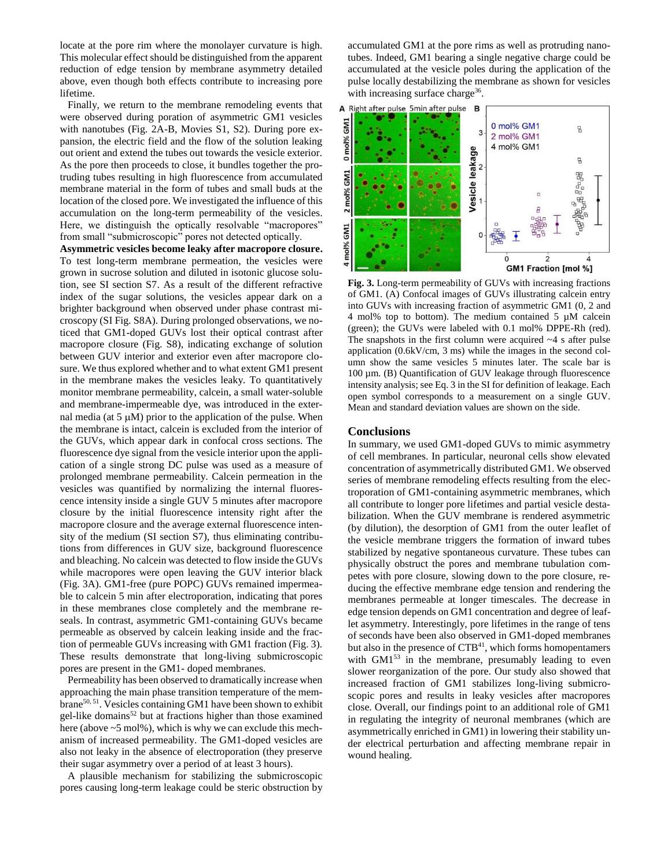locate at the pore rim where the monolayer curvature is high. This molecular effect should be distinguished from the apparent reduction of edge tension by membrane asymmetry detailed above, even though both effects contribute to increasing pore lifetime.

Finally, we return to the membrane remodeling events that were observed during poration of asymmetric GM1 vesicles with nanotubes (Fig. 2A-B, Movies S1, S2). During pore expansion, the electric field and the flow of the solution leaking out orient and extend the tubes out towards the vesicle exterior. As the pore then proceeds to close, it bundles together the protruding tubes resulting in high fluorescence from accumulated membrane material in the form of tubes and small buds at the location of the closed pore. We investigated the influence of this accumulation on the long-term permeability of the vesicles. Here, we distinguish the optically resolvable "macropores" from small "submicroscopic" pores not detected optically.

**Asymmetric vesicles become leaky after macropore closure.** To test long-term membrane permeation, the vesicles were grown in sucrose solution and diluted in isotonic glucose solution, see SI section S7. As a result of the different refractive index of the sugar solutions, the vesicles appear dark on a brighter background when observed under phase contrast microscopy (SI Fig. S8A). During prolonged observations, we noticed that GM1-doped GUVs lost their optical contrast after macropore closure (Fig. S8), indicating exchange of solution between GUV interior and exterior even after macropore closure. We thus explored whether and to what extent GM1 present in the membrane makes the vesicles leaky. To quantitatively monitor membrane permeability, calcein, a small water-soluble and membrane-impermeable dye, was introduced in the external media (at  $5 \mu M$ ) prior to the application of the pulse. When the membrane is intact, calcein is excluded from the interior of the GUVs, which appear dark in confocal cross sections. The fluorescence dye signal from the vesicle interior upon the application of a single strong DC pulse was used as a measure of prolonged membrane permeability. Calcein permeation in the vesicles was quantified by normalizing the internal fluorescence intensity inside a single GUV 5 minutes after macropore closure by the initial fluorescence intensity right after the macropore closure and the average external fluorescence intensity of the medium (SI section S7), thus eliminating contributions from differences in GUV size, background fluorescence and bleaching. No calcein was detected to flow inside the GUVs while macropores were open leaving the GUV interior black (Fig. 3A). GM1-free (pure POPC) GUVs remained impermeable to calcein 5 min after electroporation, indicating that pores in these membranes close completely and the membrane reseals. In contrast, asymmetric GM1-containing GUVs became permeable as observed by calcein leaking inside and the fraction of permeable GUVs increasing with GM1 fraction (Fig. 3). These results demonstrate that long-living submicroscopic pores are present in the GM1- doped membranes.

Permeability has been observed to dramatically increase when approaching the main phase transition temperature of the membrane<sup>50, 51</sup>. Vesicles containing GM1 have been shown to exhibit gel-like domains<sup>52</sup> but at fractions higher than those examined here (above  $\sim$  5 mol%), which is why we can exclude this mechanism of increased permeability. The GM1-doped vesicles are also not leaky in the absence of electroporation (they preserve their sugar asymmetry over a period of at least 3 hours).

A plausible mechanism for stabilizing the submicroscopic pores causing long-term leakage could be steric obstruction by accumulated GM1 at the pore rims as well as protruding nanotubes. Indeed, GM1 bearing a single negative charge could be accumulated at the vesicle poles during the application of the pulse locally destabilizing the membrane as shown for vesicles with increasing surface charge<sup>36</sup>.



**Fig. 3.** Long-term permeability of GUVs with increasing fractions of GM1. (A) Confocal images of GUVs illustrating calcein entry into GUVs with increasing fraction of asymmetric GM1 (0, 2 and 4 mol% top to bottom). The medium contained 5 µM calcein (green); the GUVs were labeled with 0.1 mol% DPPE-Rh (red). The snapshots in the first column were acquired  $\sim$ 4 s after pulse application (0.6kV/cm, 3 ms) while the images in the second column show the same vesicles 5 minutes later. The scale bar is 100 µm. (B) Quantification of GUV leakage through fluorescence intensity analysis; see Eq. 3 in the SI for definition of leakage. Each open symbol corresponds to a measurement on a single GUV. Mean and standard deviation values are shown on the side.

#### **Conclusions**

In summary, we used GM1-doped GUVs to mimic asymmetry of cell membranes. In particular, neuronal cells show elevated concentration of asymmetrically distributed GM1. We observed series of membrane remodeling effects resulting from the electroporation of GM1-containing asymmetric membranes, which all contribute to longer pore lifetimes and partial vesicle destabilization. When the GUV membrane is rendered asymmetric (by dilution), the desorption of GM1 from the outer leaflet of the vesicle membrane triggers the formation of inward tubes stabilized by negative spontaneous curvature. These tubes can physically obstruct the pores and membrane tubulation competes with pore closure, slowing down to the pore closure, reducing the effective membrane edge tension and rendering the membranes permeable at longer timescales. The decrease in edge tension depends on GM1 concentration and degree of leaflet asymmetry. Interestingly, pore lifetimes in the range of tens of seconds have been also observed in GM1-doped membranes but also in the presence of CTB<sup>41</sup>, which forms homopentamers with GM1<sup>53</sup> in the membrane, presumably leading to even slower reorganization of the pore. Our study also showed that increased fraction of GM1 stabilizes long-living submicroscopic pores and results in leaky vesicles after macropores close. Overall, our findings point to an additional role of GM1 in regulating the integrity of neuronal membranes (which are asymmetrically enriched in GM1) in lowering their stability under electrical perturbation and affecting membrane repair in wound healing.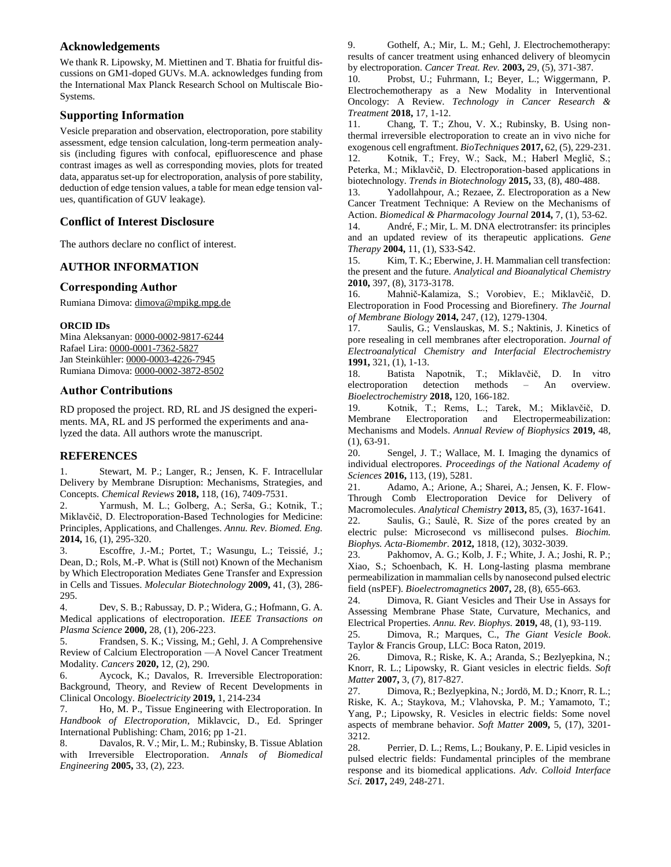## **Acknowledgements**

We thank R. Lipowsky, M. Miettinen and T. Bhatia for fruitful discussions on GM1-doped GUVs. M.A. acknowledges funding from the International Max Planck Research School on Multiscale Bio-Systems.

# **Supporting Information**

Vesicle preparation and observation, electroporation, pore stability assessment, edge tension calculation, long-term permeation analysis (including figures with confocal, epifluorescence and phase contrast images as well as corresponding movies, plots for treated data, apparatus set-up for electroporation, analysis of pore stability, deduction of edge tension values, a table for mean edge tension values, quantification of GUV leakage).

# **Conflict of Interest Disclosure**

The authors declare no conflict of interest.

# **AUTHOR INFORMATION**

# **Corresponding Author**

Rumiana Dimova: [dimova@mpikg.mpg.de](mailto:dimova@mpikg.mpg.de)

#### **ORCID IDs**

Mina Aleksanyan: [0000-0002-9817-6244](https://orcid.org/0000-0002-9817-6244) Rafael Lira: [0000-0001-7362-5827](https://orcid.org/0000-0001-7362-5827) Jan Steinkühler: [0000-0003-4226-7945](https://orcid.org/0000-0003-4226-7945) Rumiana Dimova: [0000-0002-3872-8502](http://orcid.org/0000-0002-3872-8502)

### **Author Contributions**

RD proposed the project. RD, RL and JS designed the experiments. MA, RL and JS performed the experiments and analyzed the data. All authors wrote the manuscript.

## **REFERENCES**

1. Stewart, M. P.; Langer, R.; Jensen, K. F. Intracellular Delivery by Membrane Disruption: Mechanisms, Strategies, and Concepts. *Chemical Reviews* **2018,** 118, (16), 7409-7531.

2. Yarmush, M. L.; Golberg, A.; Serša, G.; Kotnik, T.; Miklavčič, D. Electroporation-Based Technologies for Medicine: Principles, Applications, and Challenges. *Annu. Rev. Biomed. Eng.*  **2014,** 16, (1), 295-320.

3. Escoffre, J.-M.; Portet, T.; Wasungu, L.; Teissié, J.; Dean, D.; Rols, M.-P. What is (Still not) Known of the Mechanism by Which Electroporation Mediates Gene Transfer and Expression in Cells and Tissues. *Molecular Biotechnology* **2009,** 41, (3), 286- 295.

4. Dev, S. B.; Rabussay, D. P.; Widera, G.; Hofmann, G. A. Medical applications of electroporation. *IEEE Transactions on Plasma Science* **2000,** 28, (1), 206-223.

5. Frandsen, S. K.; Vissing, M.; Gehl, J. A Comprehensive Review of Calcium Electroporation —A Novel Cancer Treatment Modality. *Cancers* **2020,** 12, (2), 290.

6. Aycock, K.; Davalos, R. Irreversible Electroporation: Background, Theory, and Review of Recent Developments in Clinical Oncology. *Bioelectricity* **2019,** 1, 214-234

7. Ho, M. P., Tissue Engineering with Electroporation. In *Handbook of Electroporation*, Miklavcic, D., Ed. Springer International Publishing: Cham, 2016; pp 1-21.

8. Davalos, R. V.; Mir, L. M.; Rubinsky, B. Tissue Ablation with Irreversible Electroporation. *Annals of Biomedical Engineering* **2005,** 33, (2), 223.

9. Gothelf, A.; Mir, L. M.; Gehl, J. Electrochemotherapy: results of cancer treatment using enhanced delivery of bleomycin by electroporation. *Cancer Treat. Rev.* **2003,** 29, (5), 371-387.

10. Probst, U.; Fuhrmann, I.; Beyer, L.; Wiggermann, P. Electrochemotherapy as a New Modality in Interventional Oncology: A Review. *Technology in Cancer Research & Treatment* **2018,** 17, 1-12.

11. Chang, T. T.; Zhou, V. X.; Rubinsky, B. Using nonthermal irreversible electroporation to create an in vivo niche for exogenous cell engraftment. *BioTechniques* **2017,** 62, (5), 229-231. 12. Kotnik, T.; Frey, W.; Sack, M.; Haberl Meglič, S.; Peterka, M.; Miklavčič, D. Electroporation-based applications in biotechnology. *Trends in Biotechnology* **2015,** 33, (8), 480-488.

13. Yadollahpour, A.; Rezaee, Z. Electroporation as a New Cancer Treatment Technique: A Review on the Mechanisms of Action. *Biomedical & Pharmacology Journal* **2014,** 7, (1), 53-62.

14. André, F.; Mir, L. M. DNA electrotransfer: its principles and an updated review of its therapeutic applications. *Gene Therapy* **2004,** 11, (1), S33-S42.

15. Kim, T. K.; Eberwine, J. H. Mammalian cell transfection: the present and the future. *Analytical and Bioanalytical Chemistry*  **2010,** 397, (8), 3173-3178.

16. Mahnič-Kalamiza, S.; Vorobiev, E.; Miklavčič, D. Electroporation in Food Processing and Biorefinery. *The Journal of Membrane Biology* **2014,** 247, (12), 1279-1304.

17. Saulis, G.; Venslauskas, M. S.; Naktinis, J. Kinetics of pore resealing in cell membranes after electroporation. *Journal of Electroanalytical Chemistry and Interfacial Electrochemistry*  **1991,** 321, (1), 1-13.

18. Batista Napotnik, T.; Miklavčič, D. In vitro electroporation detection methods – An overview. *Bioelectrochemistry* **2018,** 120, 166-182.

19. Kotnik, T.; Rems, L.; Tarek, M.; Miklavčič, D. Membrane Electroporation and Electropermeabilization: Mechanisms and Models. *Annual Review of Biophysics* **2019,** 48, (1), 63-91.

20. Sengel, J. T.; Wallace, M. I. Imaging the dynamics of individual electropores. *Proceedings of the National Academy of Sciences* **2016,** 113, (19), 5281.

21. Adamo, A.; Arione, A.; Sharei, A.; Jensen, K. F. Flow-Through Comb Electroporation Device for Delivery of Macromolecules. *Analytical Chemistry* **2013,** 85, (3), 1637-1641.

22. Saulis, G.; Saulė, R. Size of the pores created by an electric pulse: Microsecond vs millisecond pulses. *Biochim. Biophys. Acta-Biomembr.* **2012,** 1818, (12), 3032-3039.

23. Pakhomov, A. G.; Kolb, J. F.; White, J. A.; Joshi, R. P.; Xiao, S.; Schoenbach, K. H. Long-lasting plasma membrane permeabilization in mammalian cells by nanosecond pulsed electric field (nsPEF). *Bioelectromagnetics* **2007,** 28, (8), 655-663.

24. Dimova, R. Giant Vesicles and Their Use in Assays for Assessing Membrane Phase State, Curvature, Mechanics, and Electrical Properties. *Annu. Rev. Biophys.* **2019,** 48, (1), 93-119.

25. Dimova, R.; Marques, C., *The Giant Vesicle Book*. Taylor & Francis Group, LLC: Boca Raton, 2019.

26. Dimova, R.; Riske, K. A.; Aranda, S.; Bezlyepkina, N.; Knorr, R. L.; Lipowsky, R. Giant vesicles in electric fields. *Soft Matter* **2007,** 3, (7), 817-827.

27. Dimova, R.; Bezlyepkina, N.; Jordö, M. D.; Knorr, R. L.; Riske, K. A.; Staykova, M.; Vlahovska, P. M.; Yamamoto, T.; Yang, P.; Lipowsky, R. Vesicles in electric fields: Some novel aspects of membrane behavior. *Soft Matter* **2009,** 5, (17), 3201- 3212.

28. Perrier, D. L.; Rems, L.; Boukany, P. E. Lipid vesicles in pulsed electric fields: Fundamental principles of the membrane response and its biomedical applications. *Adv. Colloid Interface Sci.* **2017,** 249, 248-271.